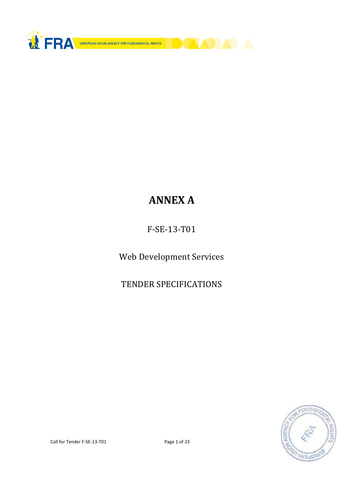

# ANNEX A

F-SE-13-T01

Web Development Services

TENDER SPECIFICATIONS

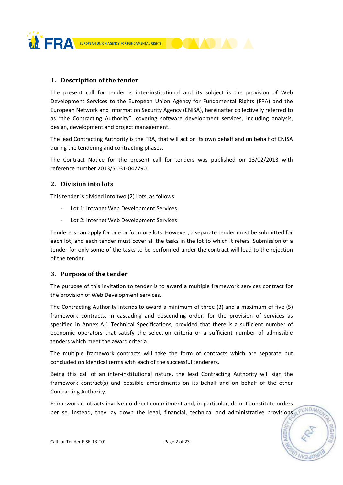

# 1. Description of the tender

The present call for tender is inter-institutional and its subject is the provision of Web Development Services to the European Union Agency for Fundamental Rights (FRA) and the European Network and Information Security Agency (ENISA), hereinafter collectivelly referred to as "the Contracting Authority", covering software development services, including analysis, design, development and project management.

The lead Contracting Authority is the FRA, that will act on its own behalf and on behalf of ENISA during the tendering and contracting phases.

The Contract Notice for the present call for tenders was published on 13/02/2013 with reference number 2013/S 031-047790.

# 2. Division into lots

This tender is divided into two (2) Lots, as follows:

- Lot 1: Intranet Web Development Services
- Lot 2: Internet Web Development Services

Tenderers can apply for one or for more lots. However, a separate tender must be submitted for each lot, and each tender must cover all the tasks in the lot to which it refers. Submission of a tender for only some of the tasks to be performed under the contract will lead to the rejection of the tender.

# 3. Purpose of the tender

The purpose of this invitation to tender is to award a multiple framework services contract for the provision of Web Development services.

The Contracting Authority intends to award a minimum of three (3) and a maximum of five (5) framework contracts, in cascading and descending order, for the provision of services as specified in Annex A.1 Technical Specifications, provided that there is a sufficient number of economic operators that satisfy the selection criteria or a sufficient number of admissible tenders which meet the award criteria.

The multiple framework contracts will take the form of contracts which are separate but concluded on identical terms with each of the successful tenderers.

Being this call of an inter-institutional nature, the lead Contracting Authority will sign the framework contract(s) and possible amendments on its behalf and on behalf of the other Contracting Authority.

Framework contracts involve no direct commitment and, in particular, do not constitute orders per se. Instead, they lay down the legal, financial, technical and administrative provisions a FUNDAM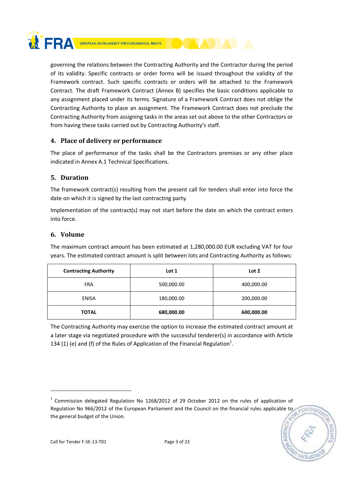

governing the relations between the Contracting Authority and the Contractor during the period of its validity. Specific contracts or order forms will be issued throughout the validity of the Framework contract. Such specific contracts or orders will be attached to the Framework Contract. The draft Framework Contract (Annex B) specifies the basic conditions applicable to any assignment placed under its terms. Signature of a Framework Contract does not oblige the Contracting Authority to place an assignment. The Framework Contract does not preclude the Contracting Authority from assigning tasks in the areas set out above to the other Contractors or from having these tasks carried out by Contracting Authority's staff.

# 4. Place of delivery or performance

The place of performance of the tasks shall be the Contractors premises or any other place indicated in Annex A.1 Technical Specifications.

# 5. Duration

The framework contract(s) resulting from the present call for tenders shall enter into force the date on which it is signed by the last contracting party.

Implementation of the contract(s) may not start before the date on which the contract enters into force.

# 6. Volume

The maximum contract amount has been estimated at 1,280,000.00 EUR excluding VAT for four years. The estimated contract amount is split between lots and Contracting Authority as follows:

| <b>Contracting Authority</b> | Lot 1                    | Lot 2      |  |
|------------------------------|--------------------------|------------|--|
| <b>FRA</b>                   | 500,000.00<br>400,000.00 |            |  |
| <b>ENISA</b>                 | 180,000.00               | 200,000.00 |  |
| <b>TOTAL</b>                 | 680,000.00               | 600,000.00 |  |

The Contracting Authority may exercise the option to increase the estimated contract amount at a later stage via negotiated procedure with the successful tenderer(s) in accordance with Article 134 (1) (e) and (f) of the Rules of Application of the Financial Regulation<sup>1</sup>.

EUNDA

<u>.</u>

 $1$  Commission delegated Regulation No 1268/2012 of 29 October 2012 on the rules of application of Regulation No 966/2012 of the European Parliament and the Council on the financial rules applicable to the general budget of the Union.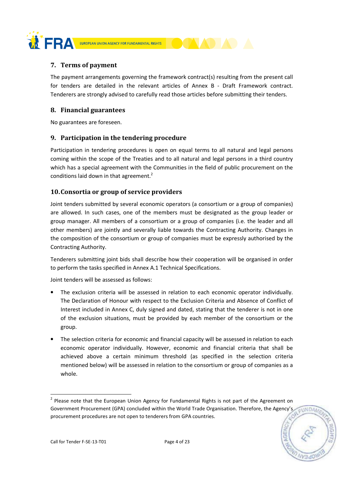

# 7. Terms of payment

The payment arrangements governing the framework contract(s) resulting from the present call for tenders are detailed in the relevant articles of Annex B - Draft Framework contract. Tenderers are strongly advised to carefully read those articles before submitting their tenders.

# 8. Financial guarantees

No guarantees are foreseen.

# 9. Participation in the tendering procedure

Participation in tendering procedures is open on equal terms to all natural and legal persons coming within the scope of the Treaties and to all natural and legal persons in a third country which has a special agreement with the Communities in the field of public procurement on the conditions laid down in that agreement. $2$ 

# 10.Consortia or group of service providers

Joint tenders submitted by several economic operators (a consortium or a group of companies) are allowed. In such cases, one of the members must be designated as the group leader or group manager. All members of a consortium or a group of companies (i.e. the leader and all other members) are jointly and severally liable towards the Contracting Authority. Changes in the composition of the consortium or group of companies must be expressly authorised by the Contracting Authority.

Tenderers submitting joint bids shall describe how their cooperation will be organised in order to perform the tasks specified in Annex A.1 Technical Specifications.

Joint tenders will be assessed as follows:

- The exclusion criteria will be assessed in relation to each economic operator individually. The Declaration of Honour with respect to the Exclusion Criteria and Absence of Conflict of Interest included in Annex C, duly signed and dated, stating that the tenderer is not in one of the exclusion situations, must be provided by each member of the consortium or the group.
- The selection criteria for economic and financial capacity will be assessed in relation to each economic operator individually. However, economic and financial criteria that shall be achieved above a certain minimum threshold (as specified in the selection criteria mentioned below) will be assessed in relation to the consortium or group of companies as a whole.

EUNDA

<u>.</u>

 $2$  Please note that the European Union Agency for Fundamental Rights is not part of the Agreement on Government Procurement (GPA) concluded within the World Trade Organisation. Therefore, the Agency's procurement procedures are not open to tenderers from GPA countries.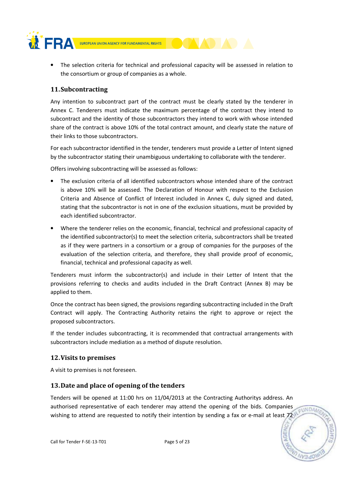

• The selection criteria for technical and professional capacity will be assessed in relation to the consortium or group of companies as a whole.

# 11.Subcontracting

Any intention to subcontract part of the contract must be clearly stated by the tenderer in Annex C. Tenderers must indicate the maximum percentage of the contract they intend to subcontract and the identity of those subcontractors they intend to work with whose intended share of the contract is above 10% of the total contract amount, and clearly state the nature of their links to those subcontractors.

For each subcontractor identified in the tender, tenderers must provide a Letter of Intent signed by the subcontractor stating their unambiguous undertaking to collaborate with the tenderer.

Offers involving subcontracting will be assessed as follows:

- The exclusion criteria of all identified subcontractors whose intended share of the contract is above 10% will be assessed. The Declaration of Honour with respect to the Exclusion Criteria and Absence of Conflict of Interest included in Annex C, duly signed and dated, stating that the subcontractor is not in one of the exclusion situations, must be provided by each identified subcontractor.
- Where the tenderer relies on the economic, financial, technical and professional capacity of the identified subcontractor(s) to meet the selection criteria, subcontractors shall be treated as if they were partners in a consortium or a group of companies for the purposes of the evaluation of the selection criteria, and therefore, they shall provide proof of economic, financial, technical and professional capacity as well.

Tenderers must inform the subcontractor(s) and include in their Letter of Intent that the provisions referring to checks and audits included in the Draft Contract (Annex B) may be applied to them.

Once the contract has been signed, the provisions regarding subcontracting included in the Draft Contract will apply. The Contracting Authority retains the right to approve or reject the proposed subcontractors.

If the tender includes subcontracting, it is recommended that contractual arrangements with subcontractors include mediation as a method of dispute resolution.

# 12.Visits to premises

A visit to premises is not foreseen.

# 13.Date and place of opening of the tenders

Tenders will be opened at 11:00 hrs on 11/04/2013 at the Contracting Authoritys address. An authorised representative of each tenderer may attend the opening of the bids. Companies wishing to attend are requested to notify their intention by sending a fax or e-mail at least 72

EUNDAN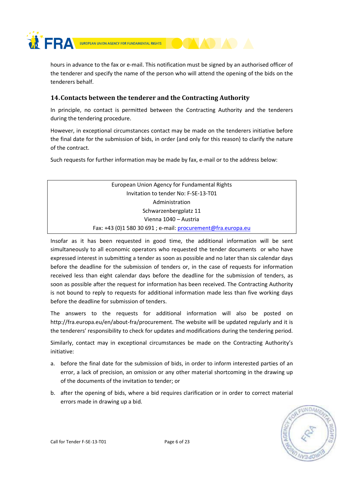

hours in advance to the fax or e-mail. This notification must be signed by an authorised officer of the tenderer and specify the name of the person who will attend the opening of the bids on the tenderers behalf.

# 14.Contacts between the tenderer and the Contracting Authority

In principle, no contact is permitted between the Contracting Authority and the tenderers during the tendering procedure.

However, in exceptional circumstances contact may be made on the tenderers initiative before the final date for the submission of bids, in order (and only for this reason) to clarify the nature of the contract.

Such requests for further information may be made by fax, e-mail or to the address below:

European Union Agency for Fundamental Rights Invitation to tender No: F-SE-13-T01 Administration Schwarzenbergplatz 11 Vienna 1040 – Austria Fax: +43 (0)1 580 30 691 ; e-mail: procurement@fra.europa.eu

Insofar as it has been requested in good time, the additional information will be sent simultaneously to all economic operators who requested the tender documents or who have expressed interest in submitting a tender as soon as possible and no later than six calendar days before the deadline for the submission of tenders or, in the case of requests for information received less than eight calendar days before the deadline for the submission of tenders, as soon as possible after the request for information has been received. The Contracting Authority is not bound to reply to requests for additional information made less than five working days before the deadline for submission of tenders.

The answers to the requests for additional information will also be posted on http://fra.europa.eu/en/about-fra/procurement. The website will be updated regularly and it is the tenderers' responsibility to check for updates and modifications during the tendering period.

Similarly, contact may in exceptional circumstances be made on the Contracting Authority's initiative:

- a. before the final date for the submission of bids, in order to inform interested parties of an error, a lack of precision, an omission or any other material shortcoming in the drawing up of the documents of the invitation to tender; or
- b. after the opening of bids, where a bid requires clarification or in order to correct material errors made in drawing up a bid.



Call for Tender F-SE-13-T01 Page 6 of 23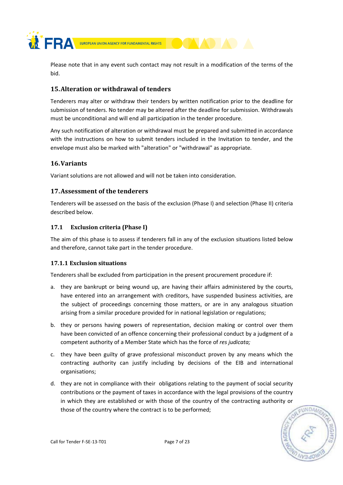**NERA** 

EUROPEAN UNION AGENCY FOR FUNDAMENTAL RIGHTS

Please note that in any event such contact may not result in a modification of the terms of the bid.

# 15.Alteration or withdrawal of tenders

Tenderers may alter or withdraw their tenders by written notification prior to the deadline for submission of tenders. No tender may be altered after the deadline for submission. Withdrawals must be unconditional and will end all participation in the tender procedure.

Any such notification of alteration or withdrawal must be prepared and submitted in accordance with the instructions on how to submit tenders included in the Invitation to tender, and the envelope must also be marked with "alteration" or "withdrawal" as appropriate.

# 16.Variants

Variant solutions are not allowed and will not be taken into consideration.

# 17.Assessment of the tenderers

Tenderers will be assessed on the basis of the exclusion (Phase I) and selection (Phase II) criteria described below.

# 17.1 Exclusion criteria (Phase I)

The aim of this phase is to assess if tenderers fall in any of the exclusion situations listed below and therefore, cannot take part in the tender procedure.

# 17.1.1 Exclusion situations

Tenderers shall be excluded from participation in the present procurement procedure if:

- a. they are bankrupt or being wound up, are having their affairs administered by the courts, have entered into an arrangement with creditors, have suspended business activities, are the subject of proceedings concerning those matters, or are in any analogous situation arising from a similar procedure provided for in national legislation or regulations;
- b. they or persons having powers of representation, decision making or control over them have been convicted of an offence concerning their professional conduct by a judgment of a competent authority of a Member State which has the force of res judicata;
- c. they have been guilty of grave professional misconduct proven by any means which the contracting authority can justify including by decisions of the EIB and international organisations;
- d. they are not in compliance with their obligations relating to the payment of social security contributions or the payment of taxes in accordance with the legal provisions of the country in which they are established or with those of the country of the contracting authority or those of the country where the contract is to be performed;

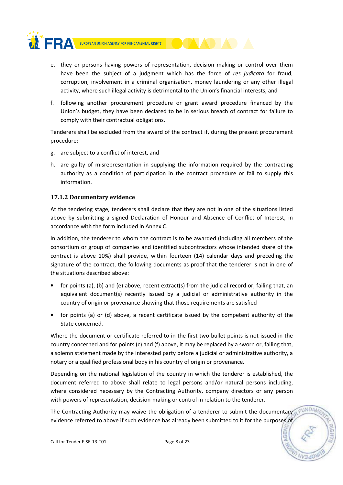

- e. they or persons having powers of representation, decision making or control over them have been the subject of a judgment which has the force of res judicata for fraud, corruption, involvement in a criminal organisation, money laundering or any other illegal activity, where such illegal activity is detrimental to the Union's financial interests, and
- f. following another procurement procedure or grant award procedure financed by the Union's budget, they have been declared to be in serious breach of contract for failure to comply with their contractual obligations.

Tenderers shall be excluded from the award of the contract if, during the present procurement procedure:

- g. are subject to a conflict of interest, and
- h. are guilty of misrepresentation in supplying the information required by the contracting authority as a condition of participation in the contract procedure or fail to supply this information.

## 17.1.2 Documentary evidence

At the tendering stage, tenderers shall declare that they are not in one of the situations listed above by submitting a signed Declaration of Honour and Absence of Conflict of Interest, in accordance with the form included in Annex C.

In addition, the tenderer to whom the contract is to be awarded (including all members of the consortium or group of companies and identified subcontractors whose intended share of the contract is above 10%) shall provide, within fourteen (14) calendar days and preceding the signature of the contract, the following documents as proof that the tenderer is not in one of the situations described above:

- for points (a), (b) and (e) above, recent extract(s) from the judicial record or, failing that, an equivalent document(s) recently issued by a judicial or administrative authority in the country of origin or provenance showing that those requirements are satisfied
- for points (a) or (d) above, a recent certificate issued by the competent authority of the State concerned.

Where the document or certificate referred to in the first two bullet points is not issued in the country concerned and for points (c) and (f) above, it may be replaced by a sworn or, failing that, a solemn statement made by the interested party before a judicial or administrative authority, a notary or a qualified professional body in his country of origin or provenance.

Depending on the national legislation of the country in which the tenderer is established, the document referred to above shall relate to legal persons and/or natural persons including, where considered necessary by the Contracting Authority, company directors or any person with powers of representation, decision-making or control in relation to the tenderer.

The Contracting Authority may waive the obligation of a tenderer to submit the documentary a FUNDA evidence referred to above if such evidence has already been submitted to it for the purposes of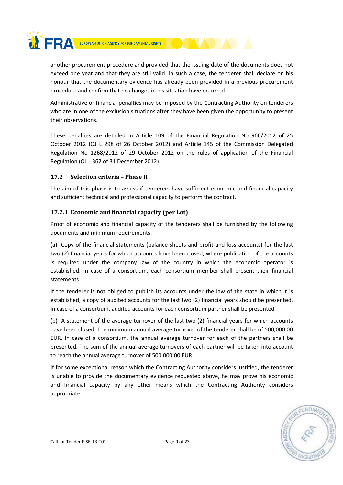

another procurement procedure and provided that the issuing date of the documents does not exceed one year and that they are still valid. In such a case, the tenderer shall declare on his honour that the documentary evidence has already been provided in a previous procurement procedure and confirm that no changes in his situation have occurred.

Administrative or financial penalties may be imposed by the Contracting Authority on tenderers who are in one of the exclusion situations after they have been given the opportunity to present their observations.

These penalties are detailed in Article 109 of the Financial Regulation No 966/2012 of 25 October 2012 (OJ L 298 of 26 October 2012) and Article 145 of the Commission Delegated Regulation No 1268/2012 of 29 October 2012 on the rules of application of the Financial Regulation (OJ L 362 of 31 December 2012).

## 17.2 Selection criteria – Phase II

The aim of this phase is to assess if tenderers have sufficient economic and financial capacity and sufficient technical and professional capacity to perform the contract.

# 17.2.1 Economic and financial capacity (per Lot)

Proof of economic and financial capacity of the tenderers shall be furnished by the following documents and minimum requirements:

(a) Copy of the financial statements (balance sheets and profit and loss accounts) for the last two (2) financial years for which accounts have been closed, where publication of the accounts is required under the company law of the country in which the economic operator is established. In case of a consortium, each consortium member shall present their financial statements.

If the tenderer is not obliged to publish its accounts under the law of the state in which it is established, a copy of audited accounts for the last two (2) financial years should be presented. In case of a consortium, audited accounts for each consortium partner shall be presented.

(b) A statement of the average turnover of the last two (2) financial years for which accounts have been closed. The minimum annual average turnover of the tenderer shall be of 500,000.00 EUR. In case of a consortium, the annual average turnover for each of the partners shall be presented. The sum of the annual average turnovers of each partner will be taken into account to reach the annual average turnover of 500,000.00 EUR.

If for some exceptional reason which the Contracting Authority considers justified, the tenderer is unable to provide the documentary evidence requested above, he may prove his economic and financial capacity by any other means which the Contracting Authority considers appropriate.



Call for Tender F-SE-13-T01 Page 9 of 23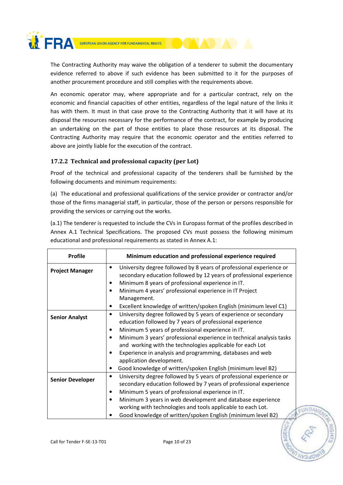

The Contracting Authority may waive the obligation of a tenderer to submit the documentary evidence referred to above if such evidence has been submitted to it for the purposes of another procurement procedure and still complies with the requirements above.

An economic operator may, where appropriate and for a particular contract, rely on the economic and financial capacities of other entities, regardless of the legal nature of the links it has with them. It must in that case prove to the Contracting Authority that it will have at its disposal the resources necessary for the performance of the contract, for example by producing an undertaking on the part of those entities to place those resources at its disposal. The Contracting Authority may require that the economic operator and the entities referred to above are jointly liable for the execution of the contract.

# 17.2.2 Technical and professional capacity (per Lot)

Proof of the technical and professional capacity of the tenderers shall be furnished by the following documents and minimum requirements:

(a) The educational and professional qualifications of the service provider or contractor and/or those of the firms managerial staff, in particular, those of the person or persons responsible for providing the services or carrying out the works.

(a.1) The tenderer is requested to include the CVs in Europass format of the profiles described in Annex A.1 Technical Specifications. The proposed CVs must possess the following minimum educational and professional requirements as stated in Annex A.1:

| <b>Profile</b>                                                                                     | Minimum education and professional experience required                            |  |  |  |  |
|----------------------------------------------------------------------------------------------------|-----------------------------------------------------------------------------------|--|--|--|--|
| University degree followed by 8 years of professional experience or<br>٠<br><b>Project Manager</b> |                                                                                   |  |  |  |  |
|                                                                                                    | secondary education followed by 12 years of professional experience               |  |  |  |  |
|                                                                                                    | Minimum 8 years of professional experience in IT.<br>٠                            |  |  |  |  |
|                                                                                                    | Minimum 4 years' professional experience in IT Project<br>$\bullet$               |  |  |  |  |
|                                                                                                    | Management.                                                                       |  |  |  |  |
|                                                                                                    | Excellent knowledge of written/spoken English (minimum level C1)<br>٠             |  |  |  |  |
| University degree followed by 5 years of experience or secondary<br>$\bullet$                      |                                                                                   |  |  |  |  |
| <b>Senior Analyst</b>                                                                              | education followed by 7 years of professional experience                          |  |  |  |  |
|                                                                                                    | Minimum 5 years of professional experience in IT.<br>$\bullet$                    |  |  |  |  |
|                                                                                                    | Minimum 3 years' professional experience in technical analysis tasks<br>$\bullet$ |  |  |  |  |
|                                                                                                    | and working with the technologies applicable for each Lot                         |  |  |  |  |
|                                                                                                    | Experience in analysis and programming, databases and web<br>$\bullet$            |  |  |  |  |
|                                                                                                    | application development.                                                          |  |  |  |  |
|                                                                                                    | Good knowledge of written/spoken English (minimum level B2)                       |  |  |  |  |
|                                                                                                    | University degree followed by 5 years of professional experience or<br>$\bullet$  |  |  |  |  |
| <b>Senior Developer</b>                                                                            | secondary education followed by 7 years of professional experience                |  |  |  |  |
|                                                                                                    | Minimum 5 years of professional experience in IT.<br>٠                            |  |  |  |  |
|                                                                                                    | Minimum 3 years in web development and database experience<br>$\bullet$           |  |  |  |  |
|                                                                                                    | working with technologies and tools applicable to each Lot.<br><b>EUNDAN</b>      |  |  |  |  |
|                                                                                                    | Good knowledge of written/spoken English (minimum level B2)                       |  |  |  |  |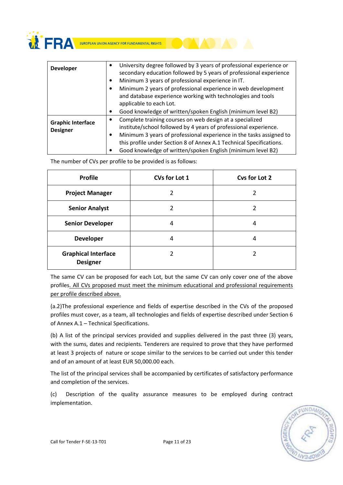**WERA** 

| <b>Developer</b>                            | University degree followed by 3 years of professional experience or<br>$\bullet$<br>secondary education followed by 5 years of professional experience<br>Minimum 3 years of professional experience in IT.<br>Minimum 2 years of professional experience in web development<br>and database experience working with technologies and tools<br>applicable to each Lot. |
|---------------------------------------------|------------------------------------------------------------------------------------------------------------------------------------------------------------------------------------------------------------------------------------------------------------------------------------------------------------------------------------------------------------------------|
|                                             | Good knowledge of written/spoken English (minimum level B2)                                                                                                                                                                                                                                                                                                            |
| <b>Graphic Interface</b><br><b>Designer</b> | Complete training courses on web design at a specialized<br>institute/school followed by 4 years of professional experience.<br>Minimum 3 years of professional experience in the tasks assigned to<br>٠<br>this profile under Section 8 of Annex A.1 Technical Specifications.<br>Good knowledge of written/spoken English (minimum level B2)                         |

The number of CVs per profile to be provided is as follows:

| <b>Profile</b>                                | CVs for Lot 1 | Cvs for Lot 2 |  |
|-----------------------------------------------|---------------|---------------|--|
| <b>Project Manager</b>                        |               |               |  |
| <b>Senior Analyst</b>                         |               |               |  |
| <b>Senior Developer</b>                       | 4             | 4             |  |
| <b>Developer</b>                              | 4             | 4             |  |
| <b>Graphical Interface</b><br><b>Designer</b> |               |               |  |

The same CV can be proposed for each Lot, but the same CV can only cover one of the above profiles. All CVs proposed must meet the minimum educational and professional requirements per profile described above.

(a.2)The professional experience and fields of expertise described in the CVs of the proposed profiles must cover, as a team, all technologies and fields of expertise described under Section 6 of Annex A.1 – Technical Specifications.

(b) A list of the principal services provided and supplies delivered in the past three (3) years, with the sums, dates and recipients. Tenderers are required to prove that they have performed at least 3 projects of nature or scope similar to the services to be carried out under this tender and of an amount of at least EUR 50,000.00 each.

The list of the principal services shall be accompanied by certificates of satisfactory performance and completion of the services.

(c) Description of the quality assurance measures to be employed during contract implementation.

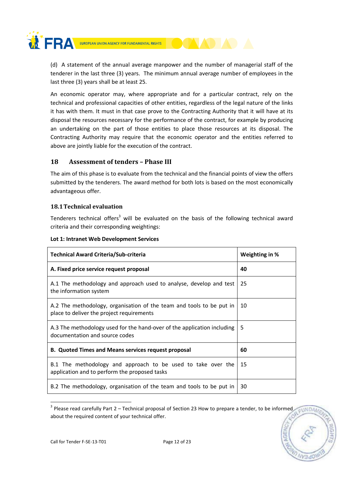

(d) A statement of the annual average manpower and the number of managerial staff of the tenderer in the last three (3) years. The minimum annual average number of employees in the last three (3) years shall be at least 25.

An economic operator may, where appropriate and for a particular contract, rely on the technical and professional capacities of other entities, regardless of the legal nature of the links it has with them. It must in that case prove to the Contracting Authority that it will have at its disposal the resources necessary for the performance of the contract, for example by producing an undertaking on the part of those entities to place those resources at its disposal. The Contracting Authority may require that the economic operator and the entities referred to above are jointly liable for the execution of the contract.

# 18 Assessment of tenders – Phase III

The aim of this phase is to evaluate from the technical and the financial points of view the offers submitted by the tenderers. The award method for both lots is based on the most economically advantageous offer.

# 18.1Technical evaluation

Tenderers technical offers<sup>3</sup> will be evaluated on the basis of the following technical award criteria and their corresponding weightings:

| <b>Technical Award Criteria/Sub-criteria</b>                                                                      | Weighting in % |
|-------------------------------------------------------------------------------------------------------------------|----------------|
| A. Fixed price service request proposal                                                                           | 40             |
| A.1 The methodology and approach used to analyse, develop and test<br>the information system                      | 25             |
| A.2 The methodology, organisation of the team and tools to be put in<br>place to deliver the project requirements | 10             |
| A.3 The methodology used for the hand-over of the application including<br>documentation and source codes         | 5              |
| <b>B. Quoted Times and Means services request proposal</b>                                                        | 60             |
| B.1 The methodology and approach to be used to take over the<br>application and to perform the proposed tasks     | 15             |
| B.2 The methodology, organisation of the team and tools to be put in                                              | 30             |

## Lot 1: Intranet Web Development Services

 $3$  Please read carefully Part 2 – Technical proposal of Section 23 How to prepare a tender, to be informed EUNDA about the required content of your technical offer.



<u>.</u>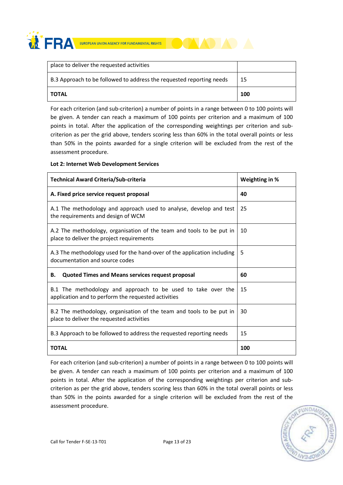**WERA** 

| place to deliver the requested activities                            |     |
|----------------------------------------------------------------------|-----|
| B.3 Approach to be followed to address the requested reporting needs | -15 |
| <b>TOTAL</b>                                                         | 100 |

For each criterion (and sub-criterion) a number of points in a range between 0 to 100 points will be given. A tender can reach a maximum of 100 points per criterion and a maximum of 100 points in total. After the application of the corresponding weightings per criterion and subcriterion as per the grid above, tenders scoring less than 60% in the total overall points or less than 50% in the points awarded for a single criterion will be excluded from the rest of the assessment procedure.

#### Lot 2: Internet Web Development Services

| Technical Award Criteria/Sub-criteria                                                                               | Weighting in % |
|---------------------------------------------------------------------------------------------------------------------|----------------|
| A. Fixed price service request proposal                                                                             | 40             |
| A.1 The methodology and approach used to analyse, develop and test<br>the requirements and design of WCM            | 25             |
| A.2 The methodology, organisation of the team and tools to be put in<br>place to deliver the project requirements   | 10             |
| A.3 The methodology used for the hand-over of the application including<br>documentation and source codes           | 5              |
| Quoted Times and Means services request proposal<br>В.                                                              | 60             |
| B.1 The methodology and approach to be used to take over the<br>application and to perform the requested activities | 15             |
| B.2 The methodology, organisation of the team and tools to be put in<br>place to deliver the requested activities   | 30             |
| B.3 Approach to be followed to address the requested reporting needs                                                | 15             |
| <b>TOTAL</b>                                                                                                        | 100            |

For each criterion (and sub-criterion) a number of points in a range between 0 to 100 points will be given. A tender can reach a maximum of 100 points per criterion and a maximum of 100 points in total. After the application of the corresponding weightings per criterion and subcriterion as per the grid above, tenders scoring less than 60% in the total overall points or less than 50% in the points awarded for a single criterion will be excluded from the rest of the assessment procedure.

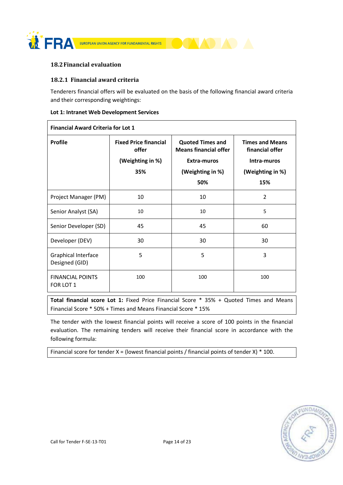

## 18.2Financial evaluation

## 18.2.1 Financial award criteria

Tenderers financial offers will be evaluated on the basis of the following financial award criteria and their corresponding weightings:

|  |  |  | Lot 1: Intranet Web Development Services |
|--|--|--|------------------------------------------|
|  |  |  |                                          |

| <b>Financial Award Criteria for Lot 1</b> |                                                                  |                                                                                                          |                                                                                     |  |
|-------------------------------------------|------------------------------------------------------------------|----------------------------------------------------------------------------------------------------------|-------------------------------------------------------------------------------------|--|
| <b>Profile</b>                            | <b>Fixed Price financial</b><br>offer<br>(Weighting in %)<br>35% | <b>Quoted Times and</b><br><b>Means financial offer</b><br><b>Extra-muros</b><br>(Weighting in %)<br>50% | <b>Times and Means</b><br>financial offer<br>Intra-muros<br>(Weighting in %)<br>15% |  |
| Project Manager (PM)                      | 10                                                               | 10                                                                                                       | $\overline{2}$                                                                      |  |
| Senior Analyst (SA)                       | 10                                                               | 10                                                                                                       | 5                                                                                   |  |
| Senior Developer (SD)                     | 45                                                               | 45                                                                                                       | 60                                                                                  |  |
| Developer (DEV)                           | 30                                                               | 30                                                                                                       | 30                                                                                  |  |
| Graphical Interface<br>Designed (GID)     | 5                                                                | 5                                                                                                        | 3                                                                                   |  |
| <b>FINANCIAL POINTS</b><br>FOR LOT 1      | 100                                                              | 100                                                                                                      | 100                                                                                 |  |

Total financial score Lot 1: Fixed Price Financial Score \* 35% + Quoted Times and Means Financial Score \* 50% + Times and Means Financial Score \* 15%

The tender with the lowest financial points will receive a score of 100 points in the financial evaluation. The remaining tenders will receive their financial score in accordance with the following formula:

Financial score for tender  $X =$  (lowest financial points / financial points of tender  $X$ )  $*$  100.

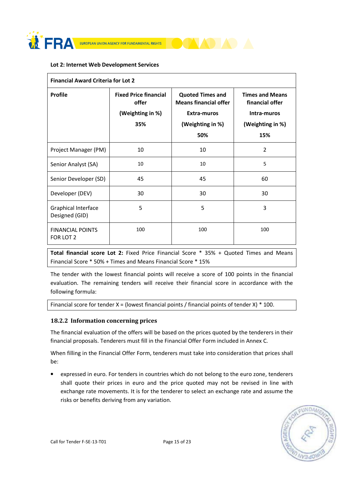

#### Lot 2: Internet Web Development Services

| <b>Financial Award Criteria for Lot 2</b>    |                                                                  |                                                                                                   |                                                                                     |  |  |
|----------------------------------------------|------------------------------------------------------------------|---------------------------------------------------------------------------------------------------|-------------------------------------------------------------------------------------|--|--|
| <b>Profile</b>                               | <b>Fixed Price financial</b><br>offer<br>(Weighting in %)<br>35% | <b>Quoted Times and</b><br><b>Means financial offer</b><br>Extra-muros<br>(Weighting in %)<br>50% | <b>Times and Means</b><br>financial offer<br>Intra-muros<br>(Weighting in %)<br>15% |  |  |
| Project Manager (PM)                         | 10                                                               | 10                                                                                                | $\overline{2}$                                                                      |  |  |
| Senior Analyst (SA)                          | 10                                                               | 10                                                                                                | 5                                                                                   |  |  |
| Senior Developer (SD)                        | 45                                                               | 45                                                                                                | 60                                                                                  |  |  |
| Developer (DEV)                              | 30                                                               | 30                                                                                                | 30                                                                                  |  |  |
| <b>Graphical Interface</b><br>Designed (GID) | 5                                                                | 5                                                                                                 | 3                                                                                   |  |  |
| <b>FINANCIAL POINTS</b><br>FOR LOT 2         | 100                                                              | 100                                                                                               | 100                                                                                 |  |  |

Total financial score Lot 2: Fixed Price Financial Score \* 35% + Quoted Times and Means Financial Score \* 50% + Times and Means Financial Score \* 15%

The tender with the lowest financial points will receive a score of 100 points in the financial evaluation. The remaining tenders will receive their financial score in accordance with the following formula:

Financial score for tender  $X =$  (lowest financial points / financial points of tender  $X$ )  $*$  100.

## 18.2.2 Information concerning prices

The financial evaluation of the offers will be based on the prices quoted by the tenderers in their financial proposals. Tenderers must fill in the Financial Offer Form included in Annex C.

When filling in the Financial Offer Form, tenderers must take into consideration that prices shall be:

• expressed in euro. For tenders in countries which do not belong to the euro zone, tenderers shall quote their prices in euro and the price quoted may not be revised in line with exchange rate movements. It is for the tenderer to select an exchange rate and assume the risks or benefits deriving from any variation.

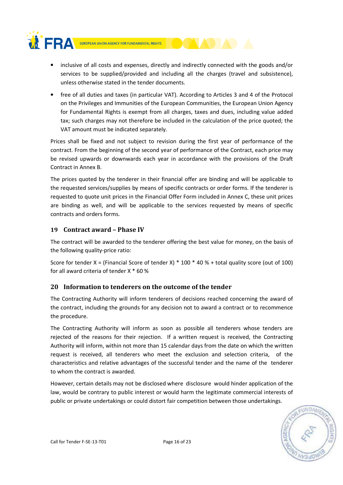

- inclusive of all costs and expenses, directly and indirectly connected with the goods and/or services to be supplied/provided and including all the charges (travel and subsistence), unless otherwise stated in the tender documents.
- free of all duties and taxes (in particular VAT). According to Articles 3 and 4 of the Protocol on the Privileges and Immunities of the European Communities, the European Union Agency for Fundamental Rights is exempt from all charges, taxes and dues, including value added tax; such charges may not therefore be included in the calculation of the price quoted; the VAT amount must be indicated separately.

Prices shall be fixed and not subject to revision during the first year of performance of the contract. From the beginning of the second year of performance of the Contract, each price may be revised upwards or downwards each year in accordance with the provisions of the Draft Contract in Annex B.

The prices quoted by the tenderer in their financial offer are binding and will be applicable to the requested services/supplies by means of specific contracts or order forms. If the tenderer is requested to quote unit prices in the Financial Offer Form included in Annex C, these unit prices are binding as well, and will be applicable to the services requested by means of specific contracts and orders forms.

# 19 Contract award – Phase IV

The contract will be awarded to the tenderer offering the best value for money, on the basis of the following quality-price ratio:

Score for tender X = (Financial Score of tender X)  $*$  100  $*$  40 % + total quality score (out of 100) for all award criteria of tender X \* 60 %

# 20 Information to tenderers on the outcome of the tender

The Contracting Authority will inform tenderers of decisions reached concerning the award of the contract, including the grounds for any decision not to award a contract or to recommence the procedure.

The Contracting Authority will inform as soon as possible all tenderers whose tenders are rejected of the reasons for their rejection. If a written request is received, the Contracting Authority will inform, within not more than 15 calendar days from the date on which the written request is received, all tenderers who meet the exclusion and selection criteria, of the characteristics and relative advantages of the successful tender and the name of the tenderer to whom the contract is awarded.

However, certain details may not be disclosed where disclosure would hinder application of the law, would be contrary to public interest or would harm the legitimate commercial interests of public or private undertakings or could distort fair competition between those undertakings.

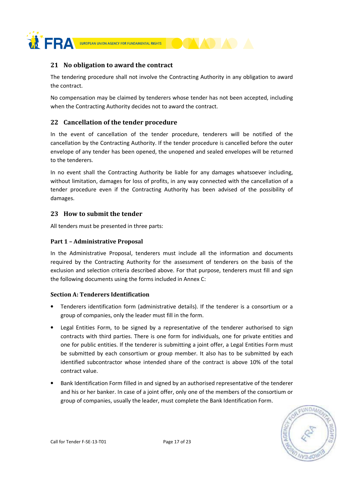

# 21 No obligation to award the contract

The tendering procedure shall not involve the Contracting Authority in any obligation to award the contract.

No compensation may be claimed by tenderers whose tender has not been accepted, including when the Contracting Authority decides not to award the contract.

# 22 Cancellation of the tender procedure

In the event of cancellation of the tender procedure, tenderers will be notified of the cancellation by the Contracting Authority. If the tender procedure is cancelled before the outer envelope of any tender has been opened, the unopened and sealed envelopes will be returned to the tenderers.

In no event shall the Contracting Authority be liable for any damages whatsoever including, without limitation, damages for loss of profits, in any way connected with the cancellation of a tender procedure even if the Contracting Authority has been advised of the possibility of damages.

# 23 How to submit the tender

All tenders must be presented in three parts:

## Part 1 – Administrative Proposal

In the Administrative Proposal, tenderers must include all the information and documents required by the Contracting Authority for the assessment of tenderers on the basis of the exclusion and selection criteria described above. For that purpose, tenderers must fill and sign the following documents using the forms included in Annex C:

## Section A: Tenderers Identification

- Tenderers identification form (administrative details). If the tenderer is a consortium or a group of companies, only the leader must fill in the form.
- Legal Entities Form, to be signed by a representative of the tenderer authorised to sign contracts with third parties. There is one form for individuals, one for private entities and one for public entities. If the tenderer is submitting a joint offer, a Legal Entities Form must be submitted by each consortium or group member. It also has to be submitted by each identified subcontractor whose intended share of the contract is above 10% of the total contract value.
- Bank Identification Form filled in and signed by an authorised representative of the tenderer and his or her banker. In case of a joint offer, only one of the members of the consortium or group of companies, usually the leader, must complete the Bank Identification Form.

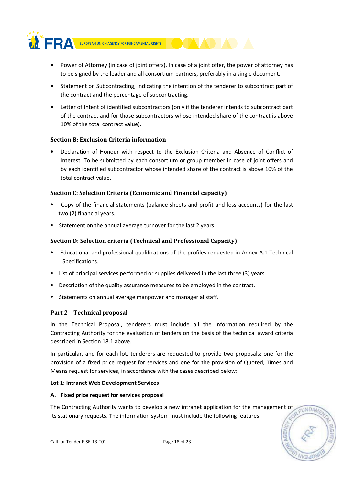

- Power of Attorney (in case of joint offers). In case of a joint offer, the power of attorney has to be signed by the leader and all consortium partners, preferably in a single document.
- Statement on Subcontracting, indicating the intention of the tenderer to subcontract part of the contract and the percentage of subcontracting.
- Letter of Intent of identified subcontractors (only if the tenderer intends to subcontract part of the contract and for those subcontractors whose intended share of the contract is above 10% of the total contract value).

## Section B: Exclusion Criteria information

• Declaration of Honour with respect to the Exclusion Criteria and Absence of Conflict of Interest. To be submitted by each consortium or group member in case of joint offers and by each identified subcontractor whose intended share of the contract is above 10% of the total contract value.

## Section C: Selection Criteria (Economic and Financial capacity)

- Copy of the financial statements (balance sheets and profit and loss accounts) for the last two (2) financial years.
- Statement on the annual average turnover for the last 2 years.

## Section D: Selection criteria (Technical and Professional Capacity)

- Educational and professional qualifications of the profiles requested in Annex A.1 Technical Specifications.
- List of principal services performed or supplies delivered in the last three (3) years.
- Description of the quality assurance measures to be employed in the contract.
- Statements on annual average manpower and managerial staff.

## Part 2 – Technical proposal

In the Technical Proposal, tenderers must include all the information required by the Contracting Authority for the evaluation of tenders on the basis of the technical award criteria described in Section 18.1 above.

In particular, and for each lot, tenderers are requested to provide two proposals: one for the provision of a fixed price request for services and one for the provision of Quoted, Times and Means request for services, in accordance with the cases described below:

#### Lot 1: Intranet Web Development Services

#### A. Fixed price request for services proposal

The Contracting Authority wants to develop a new intranet application for the management of its stationary requests. The information system must include the following features:

EUNDA

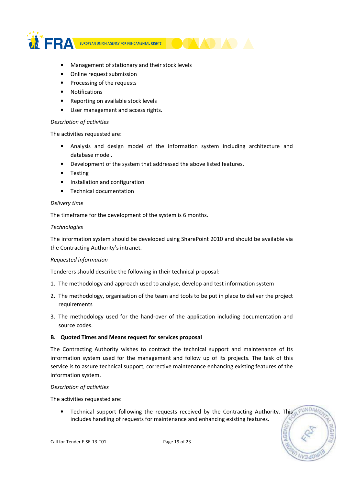

- Management of stationary and their stock levels
- Online request submission
- Processing of the requests
- Notifications
- Reporting on available stock levels
- User management and access rights.

## Description of activities

The activities requested are:

- Analysis and design model of the information system including architecture and database model.
- Development of the system that addressed the above listed features.
- Testing
- Installation and configuration
- Technical documentation

## Delivery time

The timeframe for the development of the system is 6 months.

## **Technologies**

The information system should be developed using SharePoint 2010 and should be available via the Contracting Authority's intranet.

## Requested information

Tenderers should describe the following in their technical proposal:

- 1. The methodology and approach used to analyse, develop and test information system
- 2. The methodology, organisation of the team and tools to be put in place to deliver the project requirements
- 3. The methodology used for the hand-over of the application including documentation and source codes.

## B. Quoted Times and Means request for services proposal

The Contracting Authority wishes to contract the technical support and maintenance of its information system used for the management and follow up of its projects. The task of this service is to assure technical support, corrective maintenance enhancing existing features of the information system.

## Description of activities

The activities requested are:

• Technical support following the requests received by the Contracting Authority. This includes handling of requests for maintenance and enhancing existing features.

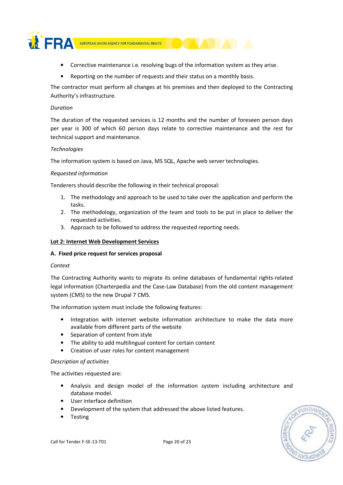

- Corrective maintenance i.e. resolving bugs of the information system as they arise.
- Reporting on the number of requests and their status on a monthly basis.

The contractor must perform all changes at his premises and then deployed to the Contracting Authority's infrastructure.

## Duration

The duration of the requested services is 12 months and the number of foreseen person days per year is 300 of which 60 person days relate to corrective maintenance and the rest for technical support and maintenance.

## **Technologies**

The information system is based on Java, MS SQL, Apache web server technologies.

## Requested information

Tenderers should describe the following in their technical proposal:

- 1. The methodology and approach to be used to take over the application and perform the tasks.
- 2. The methodology, organization of the team and tools to be put in place to deliver the requested activities.
- 3. Approach to be followed to address the requested reporting needs.

## Lot 2: Internet Web Development Services

#### A. Fixed price request for services proposal

#### Context

The Contracting Authority wants to migrate its online databases of fundamental rights-related legal information (Charterpedia and the Case-Law Database) from the old content management system (CMS) to the new Drupal 7 CMS.

The information system must include the following features:

- Integration with internet website information architecture to make the data more available from different parts of the website
- Separation of content from style
- The ability to add multilingual content for certain content
- Creation of user roles for content management

#### Description of activities

The activities requested are:

- Analysis and design model of the information system including architecture and database model.
- User interface definition
- Development of the system that addressed the above listed features.
- Testing

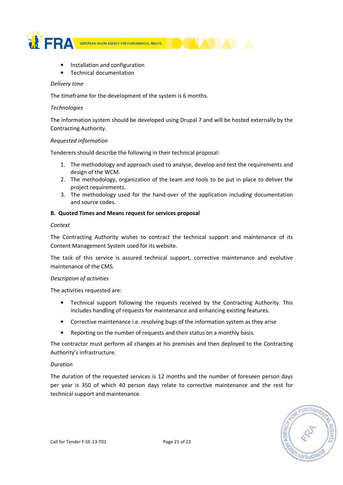

- Installation and configuration
- Technical documentation

#### Delivery time

The timeframe for the development of the system is 6 months.

## **Technologies**

The information system should be developed using Drupal 7 and will be hosted externally by the Contracting Authority.

#### Requested information

Tenderers should describe the following in their technical proposal:

- 1. The methodology and approach used to analyse, develop and test the requirements and design of the WCM.
- 2. The methodology, organization of the team and tools to be put in place to deliver the project requirements.
- 3. The methodology used for the hand-over of the application including documentation and source codes.

## B. Quoted Times and Means request for services proposal

#### Context

The Contracting Authority wishes to contract the technical support and maintenance of its Content Management System used for its website.

The task of this service is assured technical support, corrective maintenance and evolutive maintenance of the CMS.

#### Description of activities

The activities requested are:

- Technical support following the requests received by the Contracting Authority. This includes handling of requests for maintenance and enhancing existing features.
- Corrective maintenance i.e. resolving bugs of the information system as they arise
- Reporting on the number of requests and their status on a monthly basis.

The contractor must perform all changes at his premises and then deployed to the Contracting Authority's infrastructure.

#### Duration

The duration of the requested services is 12 months and the number of foreseen person days per year is 350 of which 40 person days relate to corrective maintenance and the rest for technical support and maintenance.

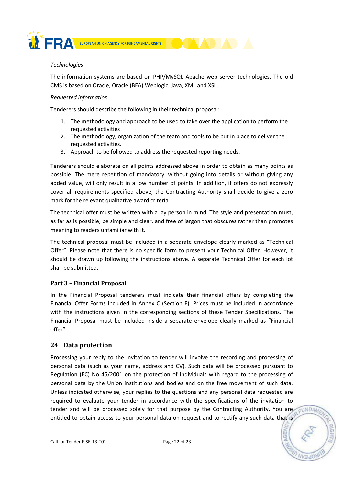

## **Technologies**

The information systems are based on PHP/MySQL Apache web server technologies. The old CMS is based on Oracle, Oracle (BEA) Weblogic, Java, XML and XSL.

## Requested information

Tenderers should describe the following in their technical proposal:

- 1. The methodology and approach to be used to take over the application to perform the requested activities
- 2. The methodology, organization of the team and tools to be put in place to deliver the requested activities.
- 3. Approach to be followed to address the requested reporting needs.

Tenderers should elaborate on all points addressed above in order to obtain as many points as possible. The mere repetition of mandatory, without going into details or without giving any added value, will only result in a low number of points. In addition, if offers do not expressly cover all requirements specified above, the Contracting Authority shall decide to give a zero mark for the relevant qualitative award criteria.

The technical offer must be written with a lay person in mind. The style and presentation must, as far as is possible, be simple and clear, and free of jargon that obscures rather than promotes meaning to readers unfamiliar with it.

The technical proposal must be included in a separate envelope clearly marked as "Technical Offer". Please note that there is no specific form to present your Technical Offer. However, it should be drawn up following the instructions above. A separate Technical Offer for each lot shall be submitted.

## Part 3 – Financial Proposal

In the Financial Proposal tenderers must indicate their financial offers by completing the Financial Offer Forms included in Annex C (Section F). Prices must be included in accordance with the instructions given in the corresponding sections of these Tender Specifications. The Financial Proposal must be included inside a separate envelope clearly marked as "Financial offer".

## 24 Data protection

Processing your reply to the invitation to tender will involve the recording and processing of personal data (such as your name, address and CV). Such data will be processed pursuant to Regulation (EC) No 45/2001 on the protection of individuals with regard to the processing of personal data by the Union institutions and bodies and on the free movement of such data. Unless indicated otherwise, your replies to the questions and any personal data requested are required to evaluate your tender in accordance with the specifications of the invitation to tender and will be processed solely for that purpose by the Contracting Authority. You are entitled to obtain access to your personal data on request and to rectify any such data that is